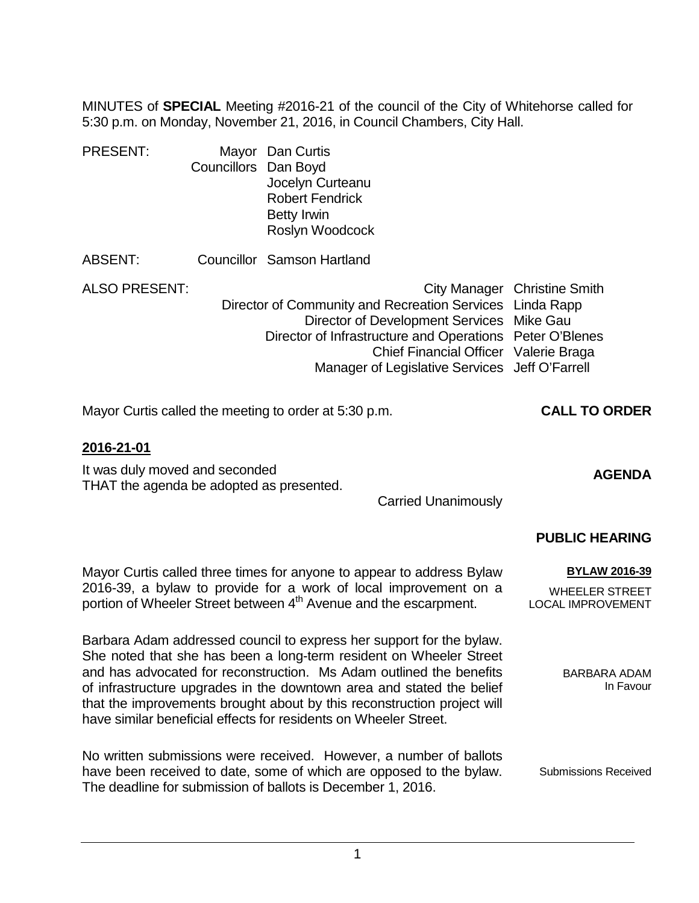MINUTES of **SPECIAL** Meeting #2016-21 of the council of the City of Whitehorse called for 5:30 p.m. on Monday, November 21, 2016, in Council Chambers, City Hall.

| <b>PRESENT:</b>      |                      | Mayor Dan Curtis                              |
|----------------------|----------------------|-----------------------------------------------|
|                      | Councillors Dan Boyd |                                               |
|                      |                      | Jocelyn Curteanu                              |
|                      |                      | <b>Robert Fendrick</b>                        |
|                      |                      | <b>Betty Irwin</b>                            |
|                      |                      | Roslyn Woodcock                               |
| ABSENT:              |                      | Councillor Samson Hartland                    |
| <b>ALSO PRESENT:</b> |                      | City Manager                                  |
|                      |                      | Director of Community and Recreation Services |
|                      |                      | Director of Development Services              |

Linda Rapp Director of Development Services Mike Gau Director of Infrastructure and Operations Peter O'Blenes Chief Financial Officer Valerie Braga Manager of Legislative Services Jeff O'Farrell

Mayor Curtis called the meeting to order at 5:30 p.m. **CALL TO ORDER**

## **2016-21-01**

It was duly moved and seconded THAT the agenda be adopted as presented.

Carried Unanimously

## **PUBLIC HEARING**

**AGENDA**

Christine Smith

Mayor Curtis called three times for anyone to appear to address Bylaw 2016-39, a bylaw to provide for a work of local improvement on a portion of Wheeler Street between 4<sup>th</sup> Avenue and the escarpment.

Barbara Adam addressed council to express her support for the bylaw. She noted that she has been a long-term resident on Wheeler Street and has advocated for reconstruction. Ms Adam outlined the benefits of infrastructure upgrades in the downtown area and stated the belief that the improvements brought about by this reconstruction project will have similar beneficial effects for residents on Wheeler Street.

No written submissions were received. However, a number of ballots have been received to date, some of which are opposed to the bylaw. The deadline for submission of ballots is December 1, 2016. Submissions Received

**BYLAW 2016-39** WHEELER STREET

LOCAL IMPROVEMENT

BARBARA ADAM In Favour